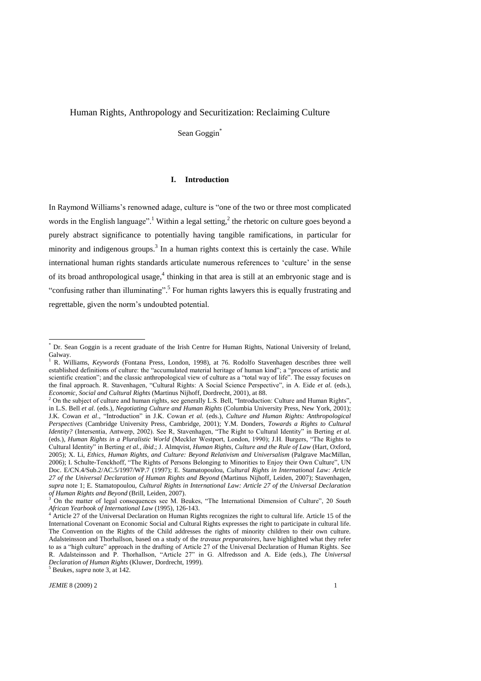# Human Rights, Anthropology and Securitization: Reclaiming Culture

Sean Goggin<sup>\*</sup>

## **I. Introduction**

In Raymond Williams's renowned adage, culture is "one of the two or three most complicated words in the English language".<sup>1</sup> Within a legal setting,  $\lambda$  the rhetoric on culture goes beyond a purely abstract significance to potentially having tangible ramifications, in particular for minority and indigenous groups.<sup>3</sup> In a human rights context this is certainly the case. While international human rights standards articulate numerous references to 'culture' in the sense of its broad anthropological usage,<sup>4</sup> thinking in that area is still at an embryonic stage and is "confusing rather than illuminating".<sup>5</sup> For human rights lawyers this is equally frustrating and regrettable, given the norm's undoubted potential.

<sup>5</sup> Beukes, *supra* note 3, at 142.

Dr. Sean Goggin is a recent graduate of the Irish Centre for Human Rights, National University of Ireland, Galway.

<sup>1</sup> R. Williams, *Keywords* (Fontana Press, London, 1998), at 76. Rodolfo Stavenhagen describes three well established definitions of culture: the "accumulated material heritage of human kind"; a "process of artistic and scientific creation"; and the classic anthropological view of culture as a "total way of life". The essay focuses on the final approach. R. Stavenhagen, "Cultural Rights: A Social Science Perspective", in A. Eide *et al.* (eds.), *Economic, Social and Cultural Rights* (Martinus Nijhoff, Dordrecht, 2001), at 88.

<sup>&</sup>lt;sup>2</sup> On the subject of culture and human rights, see generally L.S. Bell, "Introduction: Culture and Human Rights", in L.S. Bell *et al.* (eds.), *Negotiating Culture and Human Rights* (Columbia University Press, New York, 2001); J.K. Cowan *et al.*, "Introduction" in J.K. Cowan *et al.* (eds.), *Culture and Human Rights: Anthropological Perspectives* (Cambridge University Press, Cambridge, 2001); Y.M. Donders, *Towards a Rights to Cultural Identity?* (Intersentia, Antwerp, 2002). See R. Stavenhagen, "The Right to Cultural Identity" in Berting *et al.* (eds.), *Human Rights in a Pluralistic World* (Meckler Westport, London, 1990); J.H. Burgers, "The Rights to Cultural Identity" in Berting et al., *ibid.*; J. Almqvist, *Human Rights, Culture and the Rule of Law* (Hart, Oxford, 2005); X. Li, *Ethics, Human Rights, and Culture: Beyond Relativism and Universalism* (Palgrave MacMillan, 2006); I. Schulte-Tenckhoff, "The Rights of Persons Belonging to Minorities to Enjoy their Own Culture", UN Doc. E/CN.4/Sub.2/AC.5/1997/WP.7 (1997); E. Stamatopoulou, *Cultural Rights in International Law: Article 27 of the Universal Declaration of Human Rights and Beyond* (Martinus Nijhoff, Leiden, 2007); Stavenhagen, *supra* note 1; E. Stamatopoulou, *Cultural Rights in International Law: Article 27 of the Universal Declaration of Human Rights and Beyond* (Brill, Leiden, 2007).

On the matter of legal consequences see M. Beukes, "The International Dimension of Culture", 20 *South African Yearbook of International Law* (1995), 126-143.

Article 27 of the Universal Declaration on Human Rights recognizes the right to cultural life. Article 15 of the International Covenant on Economic Social and Cultural Rights expresses the right to participate in cultural life. The Convention on the Rights of the Child addresses the rights of minority children to their own culture. Adalsteinsson and Thorhallson, based on a study of the *travaux preparatoires*, have highlighted what they refer to as a "high culture" approach in the drafting of Article 27 of the Universal Declaration of Human Rights. See R. Adalsteinsson and P. Thorhallson, "Article 27" in G. Alfredsson and A. Eide (eds.), *The Universal Declaration of Human Rights* (Kluwer, Dordrecht, 1999).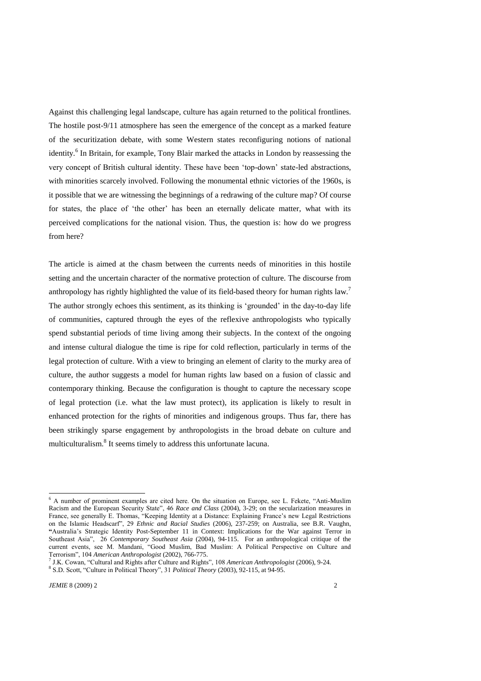Against this challenging legal landscape, culture has again returned to the political frontlines. The hostile post-9/11 atmosphere has seen the emergence of the concept as a marked feature of the securitization debate, with some Western states reconfiguring notions of national identity.<sup>6</sup> In Britain, for example, Tony Blair marked the attacks in London by reassessing the very concept of British cultural identity. These have been 'top-down' state-led abstractions, with minorities scarcely involved. Following the monumental ethnic victories of the 1960s, is it possible that we are witnessing the beginnings of a redrawing of the culture map? Of course for states, the place of 'the other' has been an eternally delicate matter, what with its perceived complications for the national vision. Thus, the question is: how do we progress from here?

The article is aimed at the chasm between the currents needs of minorities in this hostile setting and the uncertain character of the normative protection of culture. The discourse from anthropology has rightly highlighted the value of its field-based theory for human rights law.<sup>7</sup> The author strongly echoes this sentiment, as its thinking is 'grounded' in the day-to-day life of communities, captured through the eyes of the reflexive anthropologists who typically spend substantial periods of time living among their subjects. In the context of the ongoing and intense cultural dialogue the time is ripe for cold reflection, particularly in terms of the legal protection of culture. With a view to bringing an element of clarity to the murky area of culture, the author suggests a model for human rights law based on a fusion of classic and contemporary thinking. Because the configuration is thought to capture the necessary scope of legal protection (i.e. what the law must protect), its application is likely to result in enhanced protection for the rights of minorities and indigenous groups. Thus far, there has been strikingly sparse engagement by anthropologists in the broad debate on culture and multiculturalism.<sup>8</sup> It seems timely to address this unfortunate lacuna.

<sup>&</sup>lt;sup>6</sup> A number of prominent examples are cited here. On the situation on Europe, see L. Fekete, "Anti-Muslim Racism and the European Security State", 46 *Race and Class* (2004), 3-29; on the secularization measures in France, see generally E. Thomas, "Keeping Identity at a Distance: Explaining France's new Legal Restrictions on the Islamic Headscarf", 29 *Ethnic and Racial Studies* (2006), 237-259; on Australia, see B.R. Vaughn, **"**Australia's Strategic Identity Post-September 11 in Context: Implications for the War against Terror in Southeast Asia", 26 *Contemporary Southeast Asia* (2004), 94-115. For an anthropological critique of the current events, see M. Mandani, "Good Muslim, Bad Muslim: A Political Perspective on Culture and Terrorism‖, 104 *American Anthropologist* (2002), 766-775.

<sup>&</sup>lt;sup>7</sup> J.K. Cowan, "Cultural and Rights after Culture and Rights", 108 *American Anthropologist* (2006), 9-24. <sup>8</sup> S.D. Scott, "Culture in Political Theory", 31 *Political Theory* (2003), 92-115, at 94-95.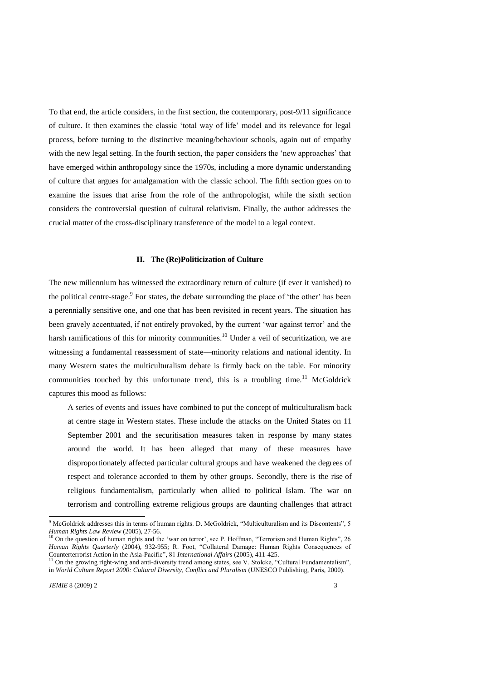To that end, the article considers, in the first section, the contemporary, post-9/11 significance of culture. It then examines the classic ‗total way of life' model and its relevance for legal process, before turning to the distinctive meaning/behaviour schools, again out of empathy with the new legal setting. In the fourth section, the paper considers the 'new approaches' that have emerged within anthropology since the 1970s, including a more dynamic understanding of culture that argues for amalgamation with the classic school. The fifth section goes on to examine the issues that arise from the role of the anthropologist, while the sixth section considers the controversial question of cultural relativism. Finally, the author addresses the crucial matter of the cross-disciplinary transference of the model to a legal context.

## **II. The (Re)Politicization of Culture**

The new millennium has witnessed the extraordinary return of culture (if ever it vanished) to the political centre-stage.<sup>9</sup> For states, the debate surrounding the place of 'the other' has been a perennially sensitive one, and one that has been revisited in recent years. The situation has been gravely accentuated, if not entirely provoked, by the current 'war against terror' and the harsh ramifications of this for minority communities.<sup>10</sup> Under a veil of securitization, we are witnessing a fundamental reassessment of state—minority relations and national identity. In many Western states the multiculturalism debate is firmly back on the table. For minority communities touched by this unfortunate trend, this is a troubling time.<sup>11</sup> McGoldrick captures this mood as follows:

A series of events and issues have combined to put the concept of multiculturalism back at centre stage in Western states. These include the attacks on the United States on 11 September 2001 and the securitisation measures taken in response by many states around the world. It has been alleged that many of these measures have disproportionately affected particular cultural groups and have weakened the degrees of respect and tolerance accorded to them by other groups. Secondly, there is the rise of religious fundamentalism, particularly when allied to political Islam. The war on terrorism and controlling extreme religious groups are daunting challenges that attract

<sup>&</sup>lt;sup>9</sup> McGoldrick addresses this in terms of human rights. D. McGoldrick, "Multiculturalism and its Discontents", 5 *Human Rights Law Review* (2005), 27-56.

<sup>&</sup>lt;sup>10</sup> On the question of human rights and the 'war on terror', see P. Hoffman, "Terrorism and Human Rights", 26 *Human Rights Quarterly* (2004), 932-955; R. Foot, "Collateral Damage: Human Rights Consequences of Counterterrorist Action in the Asia-Pacific", 81 *International Affairs* (2005), 411-425.

<sup>&</sup>lt;sup>11</sup> On the growing right-wing and anti-diversity trend among states, see V. Stolcke, "Cultural Fundamentalism", in *World Culture Report 2000: Cultural Diversity, Conflict and Pluralism* (UNESCO Publishing, Paris, 2000).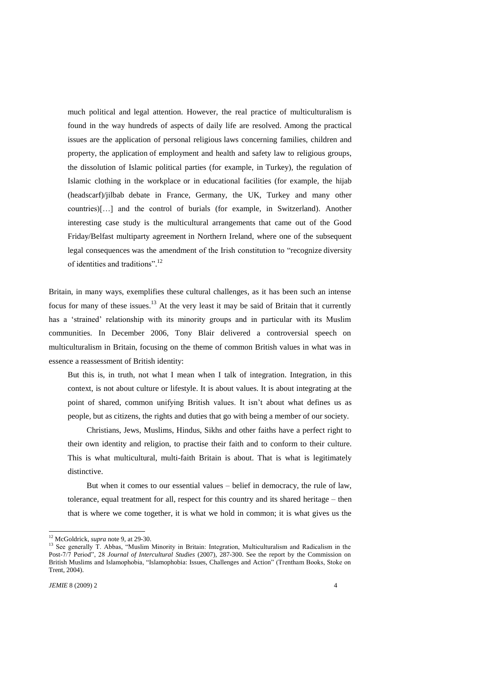much political and legal attention. However, the real practice of multiculturalism is found in the way hundreds of aspects of daily life are resolved. Among the practical issues are the application of personal religious laws concerning families, children and property, the application of employment and health and safety law to religious groups, the dissolution of Islamic political parties (for example, in Turkey), the regulation of Islamic clothing in the workplace or in educational facilities (for example, the hijab (headscarf)/jilbab debate in France, Germany, the UK, Turkey and many other countries)[…] and the control of burials (for example, in Switzerland). Another interesting case study is the multicultural arrangements that came out of the Good Friday/Belfast multiparty agreement in Northern Ireland, where one of the subsequent legal consequences was the amendment of the Irish constitution to "recognize diversity" of identities and traditions".<sup>12</sup>

Britain, in many ways, exemplifies these cultural challenges, as it has been such an intense focus for many of these issues. $13$  At the very least it may be said of Britain that it currently has a 'strained' relationship with its minority groups and in particular with its Muslim communities. In December 2006, Tony Blair delivered a controversial speech on multiculturalism in Britain, focusing on the theme of common British values in what was in essence a reassessment of British identity:

But this is, in truth, not what I mean when I talk of integration. Integration, in this context, is not about culture or lifestyle. It is about values. It is about integrating at the point of shared, common unifying British values. It isn't about what defines us as people, but as citizens, the rights and duties that go with being a member of our society.

Christians, Jews, Muslims, Hindus, Sikhs and other faiths have a perfect right to their own identity and religion, to practise their faith and to conform to their culture. This is what multicultural, multi-faith Britain is about. That is what is legitimately distinctive.

But when it comes to our essential values – belief in democracy, the rule of law, tolerance, equal treatment for all, respect for this country and its shared heritage – then that is where we come together, it is what we hold in common; it is what gives us the

<sup>12</sup> McGoldrick, *supra* note 9, at 29-30.

<sup>13</sup> See generally T. Abbas, "Muslim Minority in Britain: Integration, Multiculturalism and Radicalism in the Post-7/7 Period", 28 *Journal of Intercultural Studies* (2007), 287-300. See the report by the Commission on British Muslims and Islamophobia, "Islamophobia: Issues, Challenges and Action" (Trentham Books, Stoke on Trent, 2004).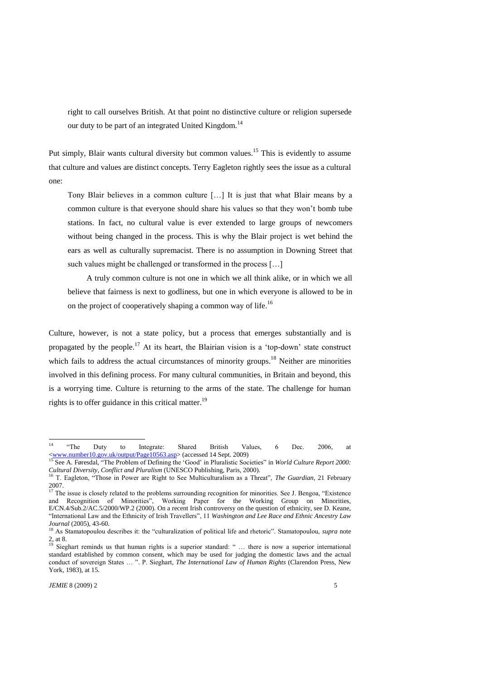right to call ourselves British. At that point no distinctive culture or religion supersede our duty to be part of an integrated United Kingdom.<sup>14</sup>

Put simply, Blair wants cultural diversity but common values.<sup>15</sup> This is evidently to assume that culture and values are distinct concepts. Terry Eagleton rightly sees the issue as a cultural one:

Tony Blair believes in a common culture […] It is just that what Blair means by a common culture is that everyone should share his values so that they won't bomb tube stations. In fact, no cultural value is ever extended to large groups of newcomers without being changed in the process. This is why the Blair project is wet behind the ears as well as culturally supremacist. There is no assumption in Downing Street that such values might be challenged or transformed in the process […]

A truly common culture is not one in which we all think alike, or in which we all believe that fairness is next to godliness, but one in which everyone is allowed to be in on the project of cooperatively shaping a common way of life.<sup>16</sup>

Culture, however, is not a state policy, but a process that emerges substantially and is propagated by the people.<sup>17</sup> At its heart, the Blairian vision is a 'top-down' state construct which fails to address the actual circumstances of minority groups.<sup>18</sup> Neither are minorities involved in this defining process. For many cultural communities, in Britain and beyond, this is a worrying time. Culture is returning to the arms of the state. The challenge for human rights is to offer guidance in this critical matter.<sup>19</sup>

 $14$ <sup>14</sup> ―The Duty to Integrate: Shared British Values, 6 Dec. 2006, at [<www.number10.gov.uk/output/Page10563.asp>](http://www.number10.gov.uk/output/Page10563.asp) (accessed 14 Sept. 2009)

<sup>15</sup> See A. Føresdal, "The Problem of Defining the 'Good' in Pluralistic Societies" in *World Culture Report 2000*: *Cultural Diversity, Conflict and Pluralism* (UNESCO Publishing, Paris, 2000).

<sup>&</sup>lt;sup>16</sup> T. Eagleton, "Those in Power are Right to See Multiculturalism as a Threat", *The Guardian*, 21 February 2007.

 $17$  The issue is closely related to the problems surrounding recognition for minorities. See J. Bengoa, "Existence and Recognition of Minorities", Working Paper for the Working Group on Minorities, E/CN.4/Sub.2/AC.5/2000/WP.2 (2000). On a recent Irish controversy on the question of ethnicity, see D. Keane, "International Law and the Ethnicity of Irish Travellers", 11 *Washington and Lee Race and Ethnic Ancestry Law Journal* (2005), 43-60.

<sup>&</sup>lt;sup>18</sup> As Stamatopoulou describes it: the "culturalization of political life and rhetoric". Stamatopoulou, *supra* note 2, at 8.

 $\frac{19}{19}$  Sieghart reminds us that human rights is a superior standard: " ... there is now a superior international standard established by common consent, which may be used for judging the domestic laws and the actual conduct of sovereign States ... ". P. Sieghart, *The International Law of Human Rights* (Clarendon Press, New York, 1983), at 15.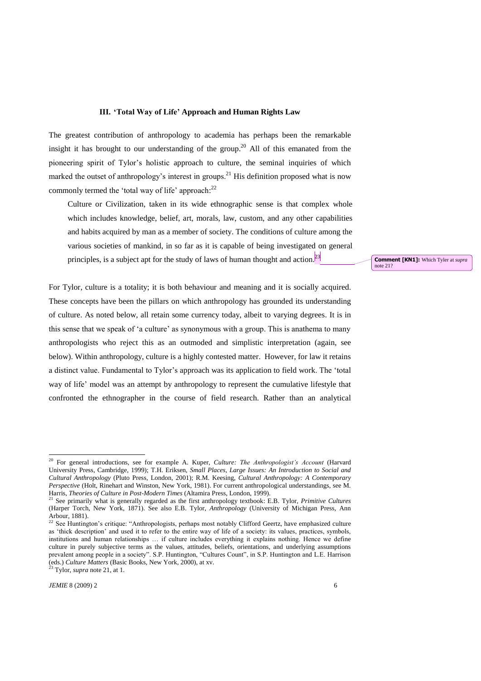### **III. 'Total Way of Life' Approach and Human Rights Law**

The greatest contribution of anthropology to academia has perhaps been the remarkable insight it has brought to our understanding of the group.<sup>20</sup> All of this emanated from the pioneering spirit of Tylor's holistic approach to culture, the seminal inquiries of which marked the outset of anthropology's interest in groups.<sup>21</sup> His definition proposed what is now commonly termed the 'total way of life' approach: $^{22}$ 

Culture or Civilization, taken in its wide ethnographic sense is that complex whole which includes knowledge, belief, art, morals, law, custom, and any other capabilities and habits acquired by man as a member of society. The conditions of culture among the various societies of mankind, in so far as it is capable of being investigated on general principles, is a subject apt for the study of laws of human thought and action.<sup>[23]</sup>

For Tylor, culture is a totality; it is both behaviour and meaning and it is socially acquired. These concepts have been the pillars on which anthropology has grounded its understanding of culture. As noted below, all retain some currency today, albeit to varying degrees. It is in this sense that we speak of ‗a culture' as synonymous with a group. This is anathema to many anthropologists who reject this as an outmoded and simplistic interpretation (again, see below). Within anthropology, culture is a highly contested matter. However, for law it retains a distinct value. Fundamental to Tylor's approach was its application to field work. The 'total way of life' model was an attempt by anthropology to represent the cumulative lifestyle that confronted the ethnographer in the course of field research. Rather than an analytical

<sup>23</sup> Tylor, *supra* note 21, at 1.

1

**Comment [KN1]:** Which Tyler at *supra* note 21?

<sup>20</sup> For general introductions, see for example A. Kuper, *Culture: The Anthropologist's Account* (Harvard University Press, Cambridge, 1999); T.H. Eriksen, *Small Places, Large Issues: An Introduction to Social and Cultural Anthropology* (Pluto Press, London, 2001); R.M. Keesing, *Cultural Anthropology: A Contemporary Perspective* (Holt, Rinehart and Winston, New York, 1981). For current anthropological understandings, see M. Harris, *Theories of Culture in Post-Modern Times* (Altamira Press, London, 1999).

<sup>&</sup>lt;sup>21</sup> See primarily what is generally regarded as the first anthropology textbook: E.B. Tylor, *Primitive Cultures* (Harper Torch, New York, 1871). See also E.B. Tylor, *Anthropology* (University of Michigan Press, Ann Arbour, 1881).

<sup>22</sup> See Huntington's critique: "Anthropologists, perhaps most notably Clifford Geertz, have emphasized culture as 'thick description' and used it to refer to the entire way of life of a society: its values, practices, symbols, institutions and human relationships … if culture includes everything it explains nothing. Hence we define culture in purely subjective terms as the values, attitudes, beliefs, orientations, and underlying assumptions prevalent among people in a society". S.P. Huntington, "Cultures Count", in S.P. Huntington and L.E. Harrison (eds.) *Culture Matters* (Basic Books, New York, 2000), at xv.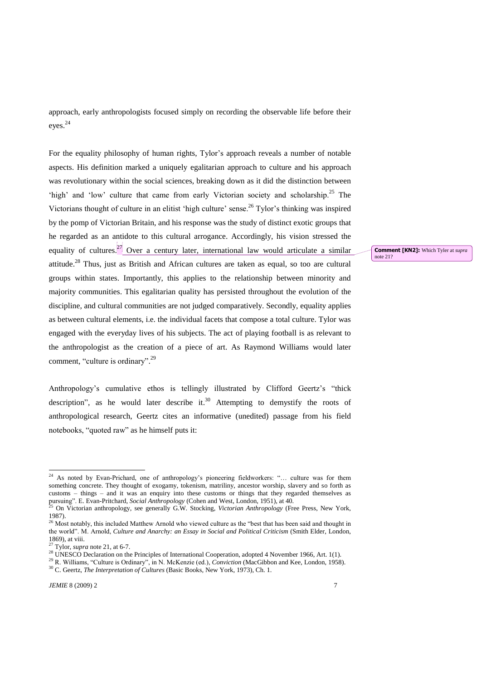approach, early anthropologists focused simply on recording the observable life before their eyes.<sup>24</sup>

For the equality philosophy of human rights, Tylor's approach reveals a number of notable aspects. His definition marked a uniquely egalitarian approach to culture and his approach was revolutionary within the social sciences, breaking down as it did the distinction between 'high' and 'low' culture that came from early Victorian society and scholarship.<sup>25</sup> The Victorians thought of culture in an elitist 'high culture' sense.<sup>26</sup> Tylor's thinking was inspired by the pomp of Victorian Britain, and his response was the study of distinct exotic groups that he regarded as an antidote to this cultural arrogance. Accordingly, his vision stressed the equality of cultures.<sup>[27]</sup> Over a century later, international law would articulate a similar attitude.<sup>28</sup> Thus, just as British and African cultures are taken as equal, so too are cultural groups within states. Importantly, this applies to the relationship between minority and majority communities. This egalitarian quality has persisted throughout the evolution of the discipline, and cultural communities are not judged comparatively. Secondly, equality applies as between cultural elements, i.e. the individual facets that compose a total culture. Tylor was engaged with the everyday lives of his subjects. The act of playing football is as relevant to the anthropologist as the creation of a piece of art. As Raymond Williams would later comment, "culture is ordinary".<sup>29</sup>

Anthropology's cumulative ethos is tellingly illustrated by Clifford Geertz's "thick description", as he would later describe it.<sup>30</sup> Attempting to demystify the roots of anthropological research, Geertz cites an informative (unedited) passage from his field notebooks, "quoted raw" as he himself puts it:

1

**Comment [KN2]:** Which Tyler at *supra* note 21?

 $24$  As noted by Evan-Prichard, one of anthropology's pioneering fieldworkers: "... culture was for them something concrete. They thought of exogamy, tokenism, matriliny, ancestor worship, slavery and so forth as customs – things – and it was an enquiry into these customs or things that they regarded themselves as pursuing‖. E. Evan-Pritchard, *Social Anthropology* (Cohen and West, London, 1951), at 40.

<sup>25</sup> On Victorian anthropology, see generally G.W. Stocking, *Victorian Anthropology* (Free Press, New York, 1987).

<sup>&</sup>lt;sup>26</sup> Most notably, this included Matthew Arnold who viewed culture as the "best that has been said and thought in the world‖. M. Arnold, *Culture and Anarchy: an Essay in Social and Political Criticism* (Smith Elder, London, 1869), at viii.

<sup>27</sup> Tylor, *supra* note 21, at 6-7.

<sup>&</sup>lt;sup>28</sup> UNESCO Declaration on the Principles of International Cooperation, adopted 4 November 1966, Art. 1(1).

<sup>&</sup>lt;sup>29</sup> R. Williams, "Culture is Ordinary", in N. McKenzie (ed.), *Conviction* (MacGibbon and Kee, London, 1958). <sup>30</sup> C. Geertz, *The Interpretation of Cultures* (Basic Books, New York, 1973), Ch. 1.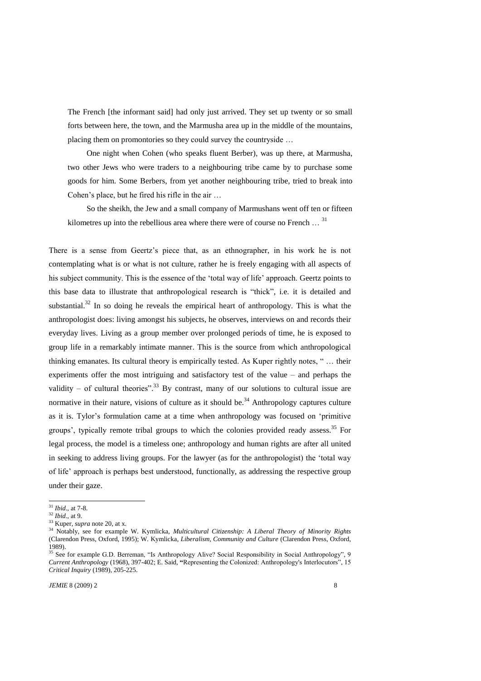The French [the informant said] had only just arrived. They set up twenty or so small forts between here, the town, and the Marmusha area up in the middle of the mountains, placing them on promontories so they could survey the countryside …

One night when Cohen (who speaks fluent Berber), was up there, at Marmusha, two other Jews who were traders to a neighbouring tribe came by to purchase some goods for him. Some Berbers, from yet another neighbouring tribe, tried to break into Cohen's place, but he fired his rifle in the air …

So the sheikh, the Jew and a small company of Marmushans went off ten or fifteen kilometres up into the rebellious area where there were of course no French  $\ldots$ <sup>31</sup>

There is a sense from Geertz's piece that, as an ethnographer, in his work he is not contemplating what is or what is not culture, rather he is freely engaging with all aspects of his subject community. This is the essence of the 'total way of life' approach. Geertz points to this base data to illustrate that anthropological research is "thick", i.e. it is detailed and substantial.<sup>32</sup> In so doing he reveals the empirical heart of anthropology. This is what the anthropologist does: living amongst his subjects, he observes, interviews on and records their everyday lives. Living as a group member over prolonged periods of time, he is exposed to group life in a remarkably intimate manner. This is the source from which anthropological thinking emanates. Its cultural theory is empirically tested. As Kuper rightly notes, " ... their experiments offer the most intriguing and satisfactory test of the value – and perhaps the validity – of cultural theories".<sup>33</sup> By contrast, many of our solutions to cultural issue are normative in their nature, visions of culture as it should be.<sup>34</sup> Anthropology captures culture as it is. Tylor's formulation came at a time when anthropology was focused on 'primitive groups', typically remote tribal groups to which the colonies provided ready assess.<sup>35</sup> For legal process, the model is a timeless one; anthropology and human rights are after all united in seeking to address living groups. For the lawyer (as for the anthropologist) the ‗total way of life' approach is perhaps best understood, functionally, as addressing the respective group under their gaze.

<sup>31</sup> *Ibid*., at 7-8.

<sup>32</sup> *Ibid*., at 9.

<sup>33</sup> Kuper, *supra* note 20, at x.

<sup>34</sup> Notably, see for example W. Kymlicka, *Multicultural Citizenship: A Liberal Theory of Minority Rights* (Clarendon Press, Oxford, 1995); W. Kymlicka, *Liberalism, Community and Culture* (Clarendon Press, Oxford, 1989).

<sup>&</sup>lt;sup>35</sup> See for example G.D. Berreman, "Is Anthropology Alive? Social Responsibility in Social Anthropology", 9 *Current Anthropology* (1968), 397-402; E. Said, "Representing the Colonized: Anthropology's Interlocutors", 15 *Critical Inquiry* (1989), 205-225.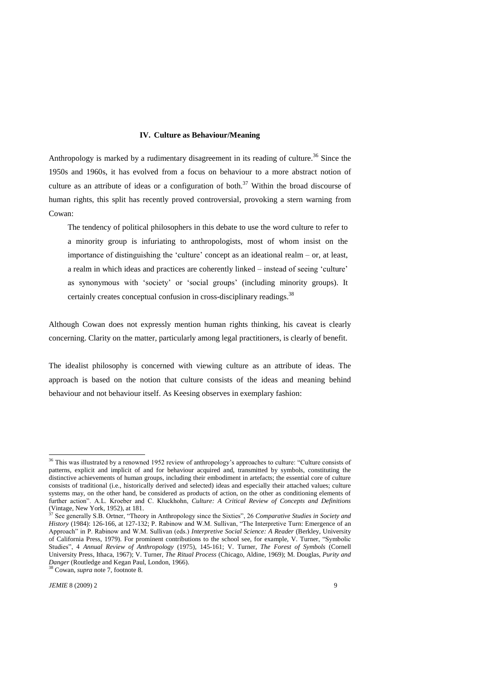#### **IV. Culture as Behaviour/Meaning**

Anthropology is marked by a rudimentary disagreement in its reading of culture.<sup>36</sup> Since the 1950s and 1960s, it has evolved from a focus on behaviour to a more abstract notion of culture as an attribute of ideas or a configuration of both.<sup>37</sup> Within the broad discourse of human rights, this split has recently proved controversial, provoking a stern warning from Cowan:

The tendency of political philosophers in this debate to use the word culture to refer to a minority group is infuriating to anthropologists, most of whom insist on the importance of distinguishing the 'culture' concept as an ideational realm – or, at least, a realm in which ideas and practices are coherently linked – instead of seeing 'culture' as synonymous with 'society' or 'social groups' (including minority groups). It certainly creates conceptual confusion in cross-disciplinary readings.<sup>38</sup>

Although Cowan does not expressly mention human rights thinking, his caveat is clearly concerning. Clarity on the matter, particularly among legal practitioners, is clearly of benefit.

The idealist philosophy is concerned with viewing culture as an attribute of ideas. The approach is based on the notion that culture consists of the ideas and meaning behind behaviour and not behaviour itself. As Keesing observes in exemplary fashion:

<sup>&</sup>lt;sup>36</sup> This was illustrated by a renowned 1952 review of anthropology's approaches to culture: "Culture consists of patterns, explicit and implicit of and for behaviour acquired and, transmitted by symbols, constituting the distinctive achievements of human groups, including their embodiment in artefacts; the essential core of culture consists of traditional (i.e., historically derived and selected) ideas and especially their attached values; culture systems may, on the other hand, be considered as products of action, on the other as conditioning elements of further action". A.L. Kroeber and C. Kluckhohn, *Culture: A Critical Review of Concepts and Definitions* (Vintage, New York, 1952), at 181.

<sup>&</sup>lt;sup>37</sup> See generally S.B. Ortner, "Theory in Anthropology since the Sixties", 26 *Comparative Studies in Society and History* (1984): 126-166, at 127-132; P. Rabinow and W.M. Sullivan, "The Interpretive Turn: Emergence of an Approach‖ in P. Rabinow and W.M. Sullivan (eds.) *Interpretive Social Science: A Reader* (Berkley, University of California Press, 1979). For prominent contributions to the school see, for example, V. Turner, "Symbolic Studies‖, 4 *Annual Review of Anthropology* (1975), 145-161; V. Turner, *The Forest of Symbols* (Cornell University Press, Ithaca, 1967); V. Turner, *The Ritual Process* (Chicago, Aldine, 1969); M. Douglas, *Purity and Danger* (Routledge and Kegan Paul, London, 1966).

<sup>38</sup> Cowan, *supra* note 7, footnote 8.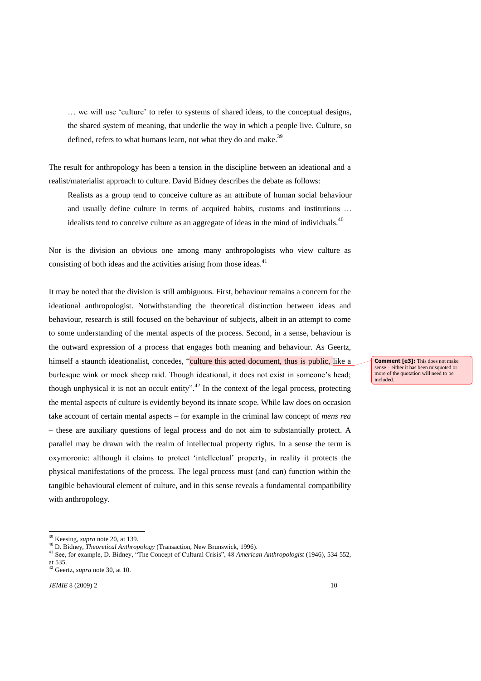... we will use 'culture' to refer to systems of shared ideas, to the conceptual designs, the shared system of meaning, that underlie the way in which a people live. Culture, so defined, refers to what humans learn, not what they do and make.<sup>39</sup>

The result for anthropology has been a tension in the discipline between an ideational and a realist/materialist approach to culture. David Bidney describes the debate as follows:

Realists as a group tend to conceive culture as an attribute of human social behaviour and usually define culture in terms of acquired habits, customs and institutions … idealists tend to conceive culture as an aggregate of ideas in the mind of individuals. $40$ 

Nor is the division an obvious one among many anthropologists who view culture as consisting of both ideas and the activities arising from those ideas.<sup>41</sup>

It may be noted that the division is still ambiguous. First, behaviour remains a concern for the ideational anthropologist. Notwithstanding the theoretical distinction between ideas and behaviour, research is still focused on the behaviour of subjects, albeit in an attempt to come to some understanding of the mental aspects of the process. Second, in a sense, behaviour is the outward expression of a process that engages both meaning and behaviour. As Geertz, himself a staunch ideationalist, concedes, "culture this acted document, thus is public, like a burlesque wink or mock sheep raid. Though ideational, it does not exist in someone's head; though unphysical it is not an occult entity".<sup>42</sup> In the context of the legal process, protecting the mental aspects of culture is evidently beyond its innate scope. While law does on occasion take account of certain mental aspects – for example in the criminal law concept of *mens rea* – these are auxiliary questions of legal process and do not aim to substantially protect. A parallel may be drawn with the realm of intellectual property rights. In a sense the term is oxymoronic: although it claims to protect ‗intellectual' property, in reality it protects the physical manifestations of the process. The legal process must (and can) function within the tangible behavioural element of culture, and in this sense reveals a fundamental compatibility with anthropology.

1

**Comment [e3]:** This does not make sense – either it has been misquoted or more of the quotation will need to be included.

<sup>39</sup> Keesing, *supra* note 20, at 139.

<sup>40</sup> D. Bidney, *Theoretical Anthropology* (Transaction, New Brunswick, 1996).

<sup>41</sup> See, for example, D. Bidney, "The Concept of Cultural Crisis", 48 *American Anthropologist* (1946), 534-552, at 535.

<sup>42</sup> Geertz, *supra* note 30, at 10.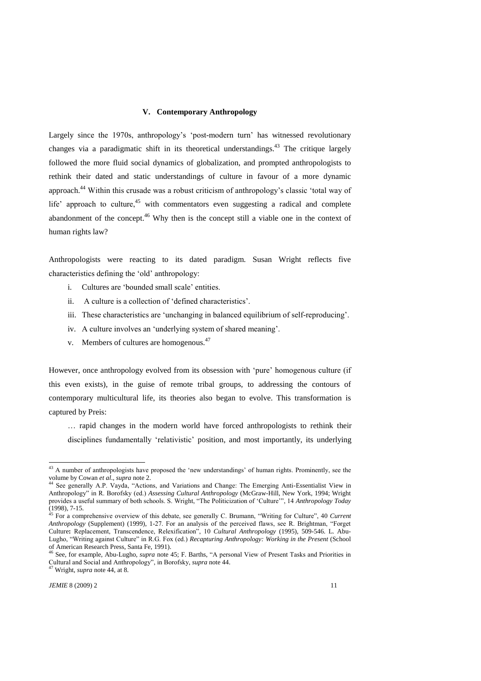# **V. Contemporary Anthropology**

Largely since the 1970s, anthropology's 'post-modern turn' has witnessed revolutionary changes via a paradigmatic shift in its theoretical understandings.<sup>43</sup> The critique largely followed the more fluid social dynamics of globalization, and prompted anthropologists to rethink their dated and static understandings of culture in favour of a more dynamic approach.<sup>44</sup> Within this crusade was a robust criticism of anthropology's classic 'total way of life' approach to culture,<sup>45</sup> with commentators even suggesting a radical and complete abandonment of the concept.<sup>46</sup> Why then is the concept still a viable one in the context of human rights law?

Anthropologists were reacting to its dated paradigm. Susan Wright reflects five characteristics defining the 'old' anthropology:

- i. Cultures are 'bounded small scale' entities.
- ii. A culture is a collection of 'defined characteristics'.
- iii. These characteristics are 'unchanging in balanced equilibrium of self-reproducing'.
- iv. A culture involves an 'underlying system of shared meaning'.
- v. Members of cultures are homogenous.<sup>47</sup>

However, once anthropology evolved from its obsession with 'pure' homogenous culture (if this even exists), in the guise of remote tribal groups, to addressing the contours of contemporary multicultural life, its theories also began to evolve. This transformation is captured by Preis:

… rapid changes in the modern world have forced anthropologists to rethink their disciplines fundamentally 'relativistic' position, and most importantly, its underlying

 $43$  A number of anthropologists have proposed the 'new understandings' of human rights. Prominently, see the volume by Cowan *et al*., *supra* note 2.

<sup>&</sup>lt;sup>44</sup> See generally A.P. Vayda, "Actions, and Variations and Change: The Emerging Anti-Essentialist View in Anthropology‖ in R. Borofsky (ed.) *Assessing Cultural Anthropology* (McGraw-Hill, New York, 1994; Wright provides a useful summary of both schools. S. Wright, "The Politicization of 'Culture'", 14 *Anthropology Today* (1998), 7-15.

<sup>&</sup>lt;sup>45</sup> For a comprehensive overview of this debate, see generally C. Brumann, "Writing for Culture", 40 *Current Anthropology* (Supplement) (1999), 1-27. For an analysis of the perceived flaws, see R. Brightman, "Forget Culture: Replacement, Transcendence, Relexification", 10 *Cultural Anthropology* (1995), 509-546. L. Abu-Lugho, "Writing against Culture" in R.G. Fox (ed.) *Recapturing Anthropology: Working in the Present* (School of American Research Press, Santa Fe, 1991).

See, for example, Abu-Lugho, *supra* note 45; F. Barths, "A personal View of Present Tasks and Priorities in Cultural and Social and Anthropology", in Borofsky, *supra* note 44.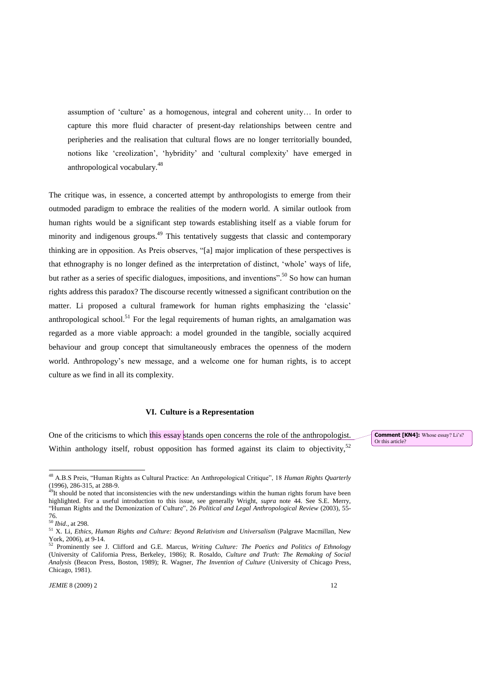assumption of ‗culture' as a homogenous, integral and coherent unity… In order to capture this more fluid character of present-day relationships between centre and peripheries and the realisation that cultural flows are no longer territorially bounded, notions like 'creolization', 'hybridity' and 'cultural complexity' have emerged in anthropological vocabulary.<sup>48</sup>

The critique was, in essence, a concerted attempt by anthropologists to emerge from their outmoded paradigm to embrace the realities of the modern world. A similar outlook from human rights would be a significant step towards establishing itself as a viable forum for minority and indigenous groups.<sup>49</sup> This tentatively suggests that classic and contemporary thinking are in opposition. As Preis observes, "[a] major implication of these perspectives is that ethnography is no longer defined as the interpretation of distinct, ‗whole' ways of life, but rather as a series of specific dialogues, impositions, and inventions".<sup>50</sup> So how can human rights address this paradox? The discourse recently witnessed a significant contribution on the matter. Li proposed a cultural framework for human rights emphasizing the 'classic' anthropological school.<sup>51</sup> For the legal requirements of human rights, an amalgamation was regarded as a more viable approach: a model grounded in the tangible, socially acquired behaviour and group concept that simultaneously embraces the openness of the modern world. Anthropology's new message, and a welcome one for human rights, is to accept culture as we find in all its complexity.

## **VI. Culture is a Representation**

One of the criticisms to which this essay stands open concerns the role of the anthropologist. Within anthology itself, robust opposition has formed against its claim to objectivity,<sup>52</sup>

1

**Comment [KN4]:** Whose essay? Li's? Or this article?

<sup>&</sup>lt;sup>48</sup> A.B.S Preis, "Human Rights as Cultural Practice: An Anthropological Critique", 18 *Human Rights Quarterly* (1996), 286-315, at 288-9.

 $49$ It should be noted that inconsistencies with the new understandings within the human rights forum have been highlighted. For a useful introduction to this issue, see generally Wright, *supra* note 44. See S.E. Merry, "Human Rights and the Demonization of Culture", 26 *Political and Legal Anthropological Review* (2003), 55-76.

<sup>50</sup> *Ibid*., at 298.

<sup>51</sup> X. Li, *Ethics, Human Rights and Culture: Beyond Relativism and Universalism* (Palgrave Macmillan, New York, 2006), at 9-14.

<sup>&</sup>lt;sup>52</sup> Prominently see J. Clifford and G.E. Marcus, *Writing Culture: The Poetics and Politics of Ethnology* (University of California Press, Berkeley, 1986); R. Rosaldo, *Culture and Truth: The Remaking of Social Analysis* (Beacon Press, Boston, 1989); R. Wagner, *The Invention of Culture* (University of Chicago Press, Chicago, 1981).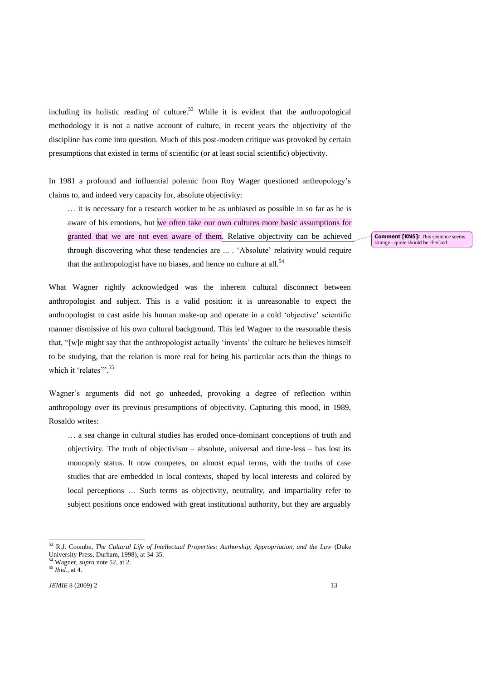including its holistic reading of culture.<sup>53</sup> While it is evident that the anthropological methodology it is not a native account of culture, in recent years the objectivity of the discipline has come into question. Much of this post-modern critique was provoked by certain presumptions that existed in terms of scientific (or at least social scientific) objectivity.

In 1981 a profound and influential polemic from Roy Wager questioned anthropology's claims to, and indeed very capacity for, absolute objectivity:

… it is necessary for a research worker to be as unbiased as possible in so far as he is aware of his emotions, but we often take our own cultures more basic assumptions for granted that we are not even aware of them. Relative objectivity can be achieved through discovering what these tendencies are ... . ‗Absolute' relativity would require that the anthropologist have no biases, and hence no culture at all.<sup>54</sup>

What Wagner rightly acknowledged was the inherent cultural disconnect between anthropologist and subject. This is a valid position: it is unreasonable to expect the anthropologist to cast aside his human make-up and operate in a cold 'objective' scientific manner dismissive of his own cultural background. This led Wagner to the reasonable thesis that, "[w]e might say that the anthropologist actually 'invents' the culture he believes himself to be studying, that the relation is more real for being his particular acts than the things to which it 'relates'".<sup>55</sup>

Wagner's arguments did not go unheeded, provoking a degree of reflection within anthropology over its previous presumptions of objectivity. Capturing this mood, in 1989, Rosaldo writes:

… a sea change in cultural studies has eroded once-dominant conceptions of truth and objectivity. The truth of objectivism – absolute, universal and time-less – has lost its monopoly status. It now competes, on almost equal terms, with the truths of case studies that are embedded in local contexts, shaped by local interests and colored by local perceptions … Such terms as objectivity, neutrality, and impartiality refer to subject positions once endowed with great institutional authority, but they are arguably

-

**Comment [KN5]:** This sentence seems strange - quote should be checked.

<sup>53</sup> R.J. Coombe, *The Cultural Life of Intellectual Properties: Authorship, Appropriation, and the Law* (Duke University Press, Durham, 1998), at 34-35.

<sup>54</sup> Wagner, *supra* note 52, at 2.

<sup>55</sup> *Ibid*., at 4.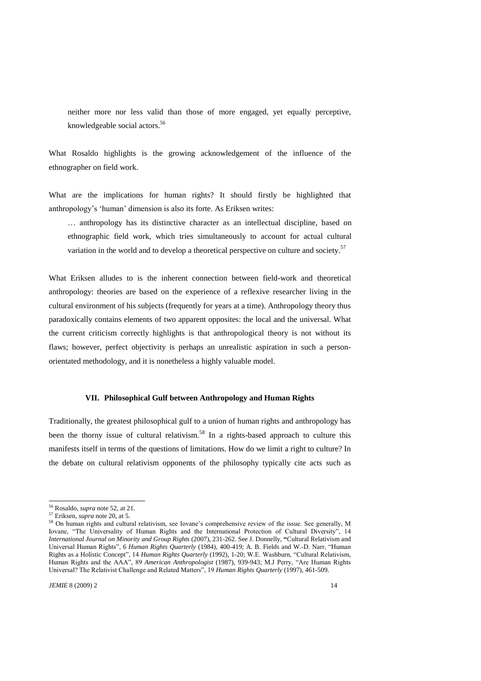neither more nor less valid than those of more engaged, yet equally perceptive, knowledgeable social actors.<sup>56</sup>

What Rosaldo highlights is the growing acknowledgement of the influence of the ethnographer on field work.

What are the implications for human rights? It should firstly be highlighted that anthropology's ‗human' dimension is also its forte. As Eriksen writes:

… anthropology has its distinctive character as an intellectual discipline, based on ethnographic field work, which tries simultaneously to account for actual cultural variation in the world and to develop a theoretical perspective on culture and society.<sup>57</sup>

What Eriksen alludes to is the inherent connection between field-work and theoretical anthropology: theories are based on the experience of a reflexive researcher living in the cultural environment of his subjects (frequently for years at a time). Anthropology theory thus paradoxically contains elements of two apparent opposites: the local and the universal. What the current criticism correctly highlights is that anthropological theory is not without its flaws; however, perfect objectivity is perhaps an unrealistic aspiration in such a personorientated methodology, and it is nonetheless a highly valuable model.

## **VII. Philosophical Gulf between Anthropology and Human Rights**

Traditionally, the greatest philosophical gulf to a union of human rights and anthropology has been the thorny issue of cultural relativism.<sup>58</sup> In a rights-based approach to culture this manifests itself in terms of the questions of limitations. How do we limit a right to culture? In the debate on cultural relativism opponents of the philosophy typically cite acts such as

<sup>56</sup> Rosaldo, *supra* note 52, at 21.

<sup>57</sup> Eriksen, *supra* note 20, at 5.

<sup>58</sup> On human rights and cultural relativism, see Iovane's comprehensive review of the issue. See generally, M Iovane, "The Universality of Human Rights and the International Protection of Cultural Diversity", 14 *International Journal on Minority and Group Rights* (2007), 231-262. See J. Donnelly, **"**Cultural Relativism and Universal Human Rights", 6 *Human Rights Quarterly* (1984), 400-419; A. B. Fields and W.-D. Narr, "Human Rights as a Holistic Concept", 14 *Human Rights Quarterly* (1992), 1-20; W.E. Washburn, "Cultural Relativism, Human Rights and the AAA", 89 *American Anthropologist* (1987), 939-943; M.J Perry, "Are Human Rights Universal? The Relativist Challenge and Related Matters", 19 *Human Rights Quarterly* (1997), 461-509.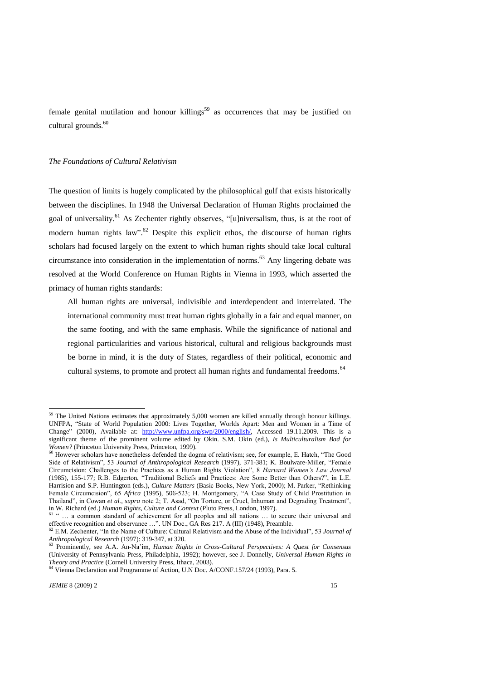female genital mutilation and honour killings<sup>59</sup> as occurrences that may be justified on cultural grounds.<sup>60</sup>

#### *The Foundations of Cultural Relativism*

The question of limits is hugely complicated by the philosophical gulf that exists historically between the disciplines. In 1948 the Universal Declaration of Human Rights proclaimed the goal of universality.<sup>61</sup> As Zechenter rightly observes, "[u]niversalism, thus, is at the root of modern human rights law".<sup>62</sup> Despite this explicit ethos, the discourse of human rights scholars had focused largely on the extent to which human rights should take local cultural circumstance into consideration in the implementation of norms. <sup>63</sup> Any lingering debate was resolved at the World Conference on Human Rights in Vienna in 1993, which asserted the primacy of human rights standards:

All human rights are universal, indivisible and interdependent and interrelated. The international community must treat human rights globally in a fair and equal manner, on the same footing, and with the same emphasis. While the significance of national and regional particularities and various historical, cultural and religious backgrounds must be borne in mind, it is the duty of States, regardless of their political, economic and cultural systems, to promote and protect all human rights and fundamental freedoms.<sup>64</sup>

 $59$  The United Nations estimates that approximately 5,000 women are killed annually through honour killings. UNFPA, "State of World Population 2000: Lives Together, Worlds Apart: Men and Women in a Time of Change‖ (2000), Available at: [http://www.unfpa.org/swp/2000/english/,](http://www.unfpa.org/swp/2000/english/) Accessed 19.11.2009. This is a significant theme of the prominent volume edited by Okin. S.M. Okin (ed.), *Is Multiculturalism Bad for is Women?* (Princeton University Press, Princeton, 1999).

<sup>&</sup>lt;sup>60</sup> However scholars have nonetheless defended the dogma of relativism; see, for example, E. Hatch, "The Good Side of Relativism", 53 *Journal of Anthropological Research* (1997), 371-381; K. Boulware-Miller, "Female Circumcision: Challenges to the Practices as a Human Rights Violation", 8 *Harvard Women's Law Journal* (1985), 155-177; R.B. Edgerton, "Traditional Beliefs and Practices: Are Some Better than Others?", in L.E. Harrision and S.P. Huntington (eds.), *Culture Matters* (Basic Books, New York, 2000); M. Parker, "Rethinking Female Circumcision", 65 *Africa* (1995), 506-523; H. Montgomery, "A Case Study of Child Prostitution in Thailand", in Cowan *et al.*, *supra* note 2; T. Asad, "On Torture, or Cruel, Inhuman and Degrading Treatment", in W. Richard (ed.) *Human Rights, Culture and Context* (Pluto Press, London, 1997).

<sup>&</sup>lt;sup>61</sup> " ... a common standard of achievement for all peoples and all nations ... to secure their universal and effective recognition and observance ...". UN Doc., GA Res 217. A (III) (1948), Preamble.

 $62$  E.M. Zechenter, "In the Name of Culture: Cultural Relativism and the Abuse of the Individual", 53 *Journal of Anthropological Research* (1997): 319-347, at 320.

<sup>63</sup> Prominently, see A.A. An-Na'im*, Human Rights in Cross-Cultural Perspectives: A Quest for Consensus* (University of Pennsylvania Press, Philadelphia, 1992); however, see J. Donnelly, *Universal Human Rights in Theory and Practice* (Cornell University Press, Ithaca, 2003).

<sup>64</sup> Vienna Declaration and Programme of Action, U.N Doc. A/CONF.157/24 (1993), Para. 5.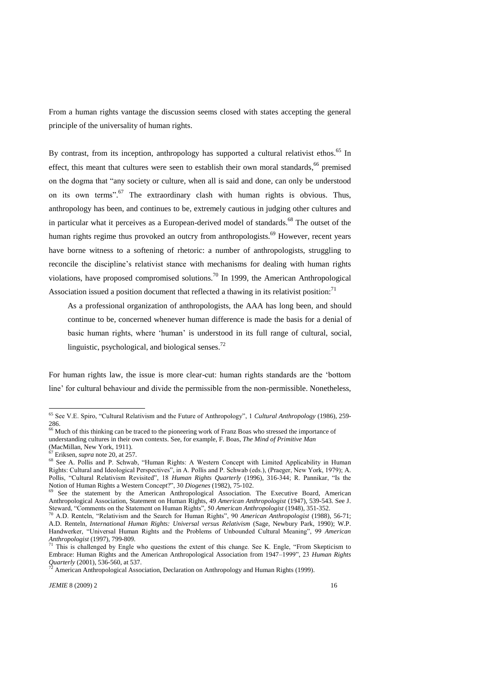From a human rights vantage the discussion seems closed with states accepting the general principle of the universality of human rights.

By contrast, from its inception, anthropology has supported a cultural relativist ethos.<sup>65</sup> In effect, this meant that cultures were seen to establish their own moral standards,<sup>66</sup> premised on the dogma that "any society or culture, when all is said and done, can only be understood on its own terms".<sup>67</sup> The extraordinary clash with human rights is obvious. Thus, anthropology has been, and continues to be, extremely cautious in judging other cultures and in particular what it perceives as a European-derived model of standards.<sup>68</sup> The outset of the human rights regime thus provoked an outcry from anthropologists.<sup>69</sup> However, recent years have borne witness to a softening of rhetoric: a number of anthropologists, struggling to reconcile the discipline's relativist stance with mechanisms for dealing with human rights violations, have proposed compromised solutions.<sup>70</sup> In 1999, the American Anthropological Association issued a position document that reflected a thawing in its relativist position:<sup>71</sup>

As a professional organization of anthropologists, the AAA has long been, and should continue to be, concerned whenever human difference is made the basis for a denial of basic human rights, where 'human' is understood in its full range of cultural, social, linguistic, psychological, and biological senses. $^{72}$ 

For human rights law, the issue is more clear-cut: human rights standards are the 'bottom line' for cultural behaviour and divide the permissible from the non-permissible. Nonetheless,

<sup>&</sup>lt;sup>65</sup> See V.E. Spiro, "Cultural Relativism and the Future of Anthropology", 1 *Cultural Anthropology* (1986), 259-286.

<sup>&</sup>lt;sup>66</sup> Much of this thinking can be traced to the pioneering work of Franz Boas who stressed the importance of understanding cultures in their own contexts. See, for example, F. Boas, *The Mind of Primitive Man* (MacMillan, New York, 1911).

<sup>67</sup> Eriksen, *supra* note 20, at 257.

<sup>&</sup>lt;sup>68</sup> See A. Pollis and P. Schwab, "Human Rights: A Western Concept with Limited Applicability in Human Rights: Cultural and Ideological Perspectives‖, in A. Pollis and P. Schwab (eds.), (Praeger, New York, 1979); A. Pollis, "Cultural Relativism Revisited", 18 *Human Rights Quarterly* (1996), 316-344; R. Pannikar, "Is the Notion of Human Rights a Western Concept?", 30 *Diogenes* (1982), 75-102.

 $69$  See the statement by the American Anthropological Association. The Executive Board, American Anthropological Association, Statement on Human Rights, 49 *American Anthropologist* (1947), 539-543. See J. Steward, "Comments on the Statement on Human Rights", 50 *American Anthropologist* (1948), 351-352.

<sup>&</sup>lt;sup>70</sup> A.D. Renteln, "Relativism and the Search for Human Rights", 90 *American Anthropologist* (1988), 56-71; A.D. Renteln, *International Human Rights: Universal versus Relativism* (Sage, Newbury Park, 1990); W.P. Handwerker, "Universal Human Rights and the Problems of Unbounded Cultural Meaning", 99 *American Anthropologist* (1997), 799-809.

 $71$  This is challenged by Engle who questions the extent of this change. See K. Engle, "From Skepticism to Embrace: Human Rights and the American Anthropological Association from 1947–1999", 23 *Human Rights Quarterly* (2001), 536-560, at 537.

<sup>&</sup>lt;sup>2</sup> American Anthropological Association, Declaration on Anthropology and Human Rights (1999).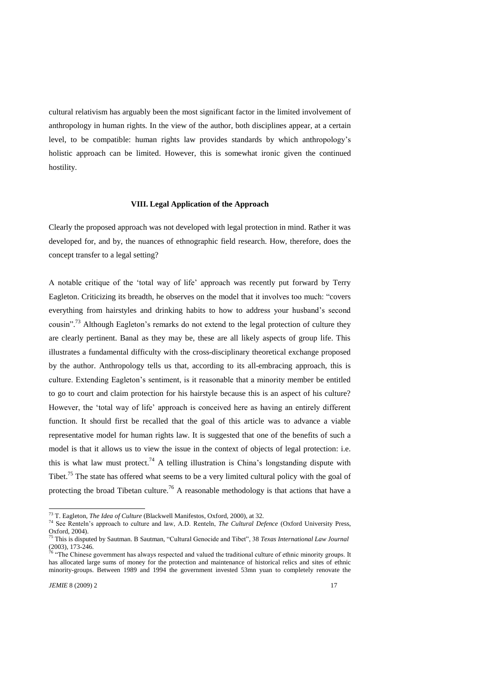cultural relativism has arguably been the most significant factor in the limited involvement of anthropology in human rights. In the view of the author, both disciplines appear, at a certain level, to be compatible: human rights law provides standards by which anthropology's holistic approach can be limited. However, this is somewhat ironic given the continued hostility.

#### **VIII. Legal Application of the Approach**

Clearly the proposed approach was not developed with legal protection in mind. Rather it was developed for, and by, the nuances of ethnographic field research. How, therefore, does the concept transfer to a legal setting?

A notable critique of the ‗total way of life' approach was recently put forward by Terry Eagleton. Criticizing its breadth, he observes on the model that it involves too much: "covers" everything from hairstyles and drinking habits to how to address your husband's second cousin".<sup>73</sup> Although Eagleton's remarks do not extend to the legal protection of culture they are clearly pertinent. Banal as they may be, these are all likely aspects of group life. This illustrates a fundamental difficulty with the cross-disciplinary theoretical exchange proposed by the author. Anthropology tells us that, according to its all-embracing approach, this is culture. Extending Eagleton's sentiment, is it reasonable that a minority member be entitled to go to court and claim protection for his hairstyle because this is an aspect of his culture? However, the 'total way of life' approach is conceived here as having an entirely different function. It should first be recalled that the goal of this article was to advance a viable representative model for human rights law. It is suggested that one of the benefits of such a model is that it allows us to view the issue in the context of objects of legal protection: i.e. this is what law must protect.<sup>74</sup> A telling illustration is China's longstanding dispute with Tibet.<sup>75</sup> The state has offered what seems to be a very limited cultural policy with the goal of protecting the broad Tibetan culture.<sup>76</sup> A reasonable methodology is that actions that have a

<sup>73</sup> T. Eagleton, *The Idea of Culture* (Blackwell Manifestos, Oxford, 2000), at 32.

<sup>74</sup> See Renteln's approach to culture and law, A.D. Renteln, *The Cultural Defence* (Oxford University Press, Oxford, 2004).

<sup>&</sup>lt;sup>75</sup> This is disputed by Sautman. B Sautman, "Cultural Genocide and Tibet", 38 *Texas International Law Journal* (2003), 173-246.

The Chinese government has always respected and valued the traditional culture of ethnic minority groups. It has allocated large sums of money for the protection and maintenance of historical relics and sites of ethnic minority-groups. Between 1989 and 1994 the government invested 53mn yuan to completely renovate the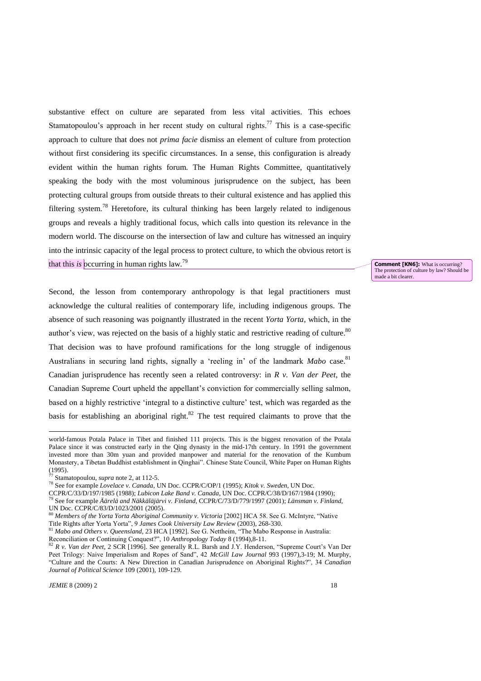substantive effect on culture are separated from less vital activities. This echoes Stamatopoulou's approach in her recent study on cultural rights.<sup>77</sup> This is a case-specific approach to culture that does not *prima facie* dismiss an element of culture from protection without first considering its specific circumstances. In a sense, this configuration is already evident within the human rights forum. The Human Rights Committee, quantitatively speaking the body with the most voluminous jurisprudence on the subject, has been protecting cultural groups from outside threats to their cultural existence and has applied this filtering system.<sup>78</sup> Heretofore, its cultural thinking has been largely related to indigenous groups and reveals a highly traditional focus, which calls into question its relevance in the modern world. The discourse on the intersection of law and culture has witnessed an inquiry into the intrinsic capacity of the legal process to protect culture, to which the obvious retort is that this *is* occurring in human rights law. 79

Second, the lesson from contemporary anthropology is that legal practitioners must acknowledge the cultural realities of contemporary life, including indigenous groups. The absence of such reasoning was poignantly illustrated in the recent *Yorta Yorta,* which, in the author's view, was rejected on the basis of a highly static and restrictive reading of culture. $80$ That decision was to have profound ramifications for the long struggle of indigenous Australians in securing land rights, signally a 'reeling in' of the landmark *Mabo* case.<sup>81</sup> Canadian jurisprudence has recently seen a related controversy: in *R v. Van der Peet*, the Canadian Supreme Court upheld the appellant's conviction for commercially selling salmon, based on a highly restrictive 'integral to a distinctive culture' test, which was regarded as the basis for establishing an aboriginal right.<sup>82</sup> The test required claimants to prove that the

1

**Comment [KN6]:** What is occurring? The protection of culture by law? Should be made a bit clearer.

world-famous Potala Palace in Tibet and finished 111 projects. This is the biggest renovation of the Potala Palace since it was constructed early in the Qing dynasty in the mid-17th century. In 1991 the government invested more than 30m yuan and provided manpower and material for the renovation of the Kumbum Monastery, a Tibetan Buddhist establishment in Qinghai". Chinese State Council, White Paper on Human Rights  $(1995)$ .

Stamatopoulou, *supra* note 2, at 112-5.

<sup>78</sup> See for example *Lovelace v. Canada*, UN Doc. CCPR/C/OP/1 (1995); *Kitok v. Sweden*, UN Doc.

CCPR/C/33/D/197/1985 (1988); *Lubicon Lake Band v. Canada*, UN Doc. CCPR/C/38/D/167/1984 (1990);

<sup>79</sup> See for example *Äärelä and Näkkäläjärvi v. Finland*, CCPR/C/73/D/779/1997 (2001); *Länsman v. Finland*, UN Doc. CCPR/C/83/D/1023/2001 (2005).

<sup>80</sup> Members of the Yorta Yorta Aboriginal Community v. Victoria [2002] HCA 58. See G. McIntyre, "Native

Title Rights after Yorta Yorta", 9 *James Cook University Law Review* (2003), 268-330. *Mabo and Others v. Oueensland,* 23 HCA [1992]. See G. Nettheim, "The Mabo Response in Australia:

Reconciliation or Continuing Conquest?‖, 10 *Anthropology Today* 8 (1994),8-11.

<sup>82</sup> R v. Van der Peet, 2 SCR [1996]. See generally R.L. Barsh and J.Y. Henderson, "Supreme Court's Van Der Peet Trilogy: Naive Imperialism and Ropes of Sand", 42 *McGill Law Journal* 993 (1997),3-19; M. Murphy, ―Culture and the Courts: A New Direction in Canadian Jurisprudence on Aboriginal Rights?‖, 34 *Canadian Journal of Political Science* 109 (2001), 109-129.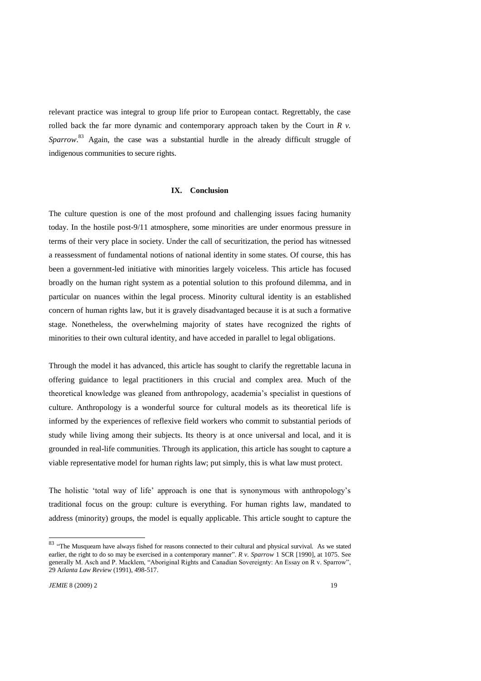relevant practice was integral to group life prior to European contact. Regrettably, the case rolled back the far more dynamic and contemporary approach taken by the Court in *R v.* Sparrow.<sup>83</sup> Again, the case was a substantial hurdle in the already difficult struggle of indigenous communities to secure rights.

### **IX. Conclusion**

The culture question is one of the most profound and challenging issues facing humanity today. In the hostile post-9/11 atmosphere, some minorities are under enormous pressure in terms of their very place in society. Under the call of securitization, the period has witnessed a reassessment of fundamental notions of national identity in some states. Of course, this has been a government-led initiative with minorities largely voiceless. This article has focused broadly on the human right system as a potential solution to this profound dilemma, and in particular on nuances within the legal process. Minority cultural identity is an established concern of human rights law, but it is gravely disadvantaged because it is at such a formative stage. Nonetheless, the overwhelming majority of states have recognized the rights of minorities to their own cultural identity, and have acceded in parallel to legal obligations.

Through the model it has advanced, this article has sought to clarify the regrettable lacuna in offering guidance to legal practitioners in this crucial and complex area. Much of the theoretical knowledge was gleaned from anthropology, academia's specialist in questions of culture. Anthropology is a wonderful source for cultural models as its theoretical life is informed by the experiences of reflexive field workers who commit to substantial periods of study while living among their subjects. Its theory is at once universal and local, and it is grounded in real-life communities. Through its application, this article has sought to capture a viable representative model for human rights law; put simply, this is what law must protect.

The holistic 'total way of life' approach is one that is synonymous with anthropology's traditional focus on the group: culture is everything. For human rights law, mandated to address (minority) groups, the model is equally applicable. This article sought to capture the

<sup>&</sup>lt;sup>83</sup> "The Musqueam have always fished for reasons connected to their cultural and physical survival. As we stated earlier, the right to do so may be exercised in a contemporary manner". *R v. Sparrow* 1 SCR [1990], at 1075. See generally M. Asch and P. Macklem, "Aboriginal Rights and Canadian Sovereignty: An Essay on R v. Sparrow", 29 A*tlanta Law Review* (1991), 498-517.